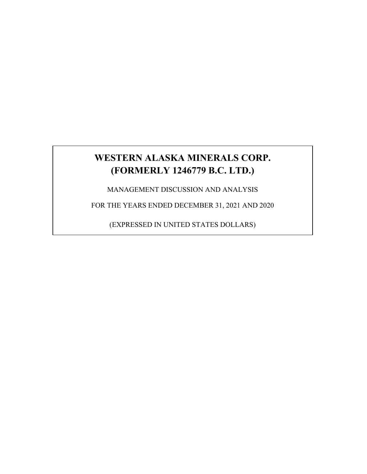# **WESTERN ALASKA MINERALS CORP. (FORMERLY 1246779 B.C. LTD.)**

MANAGEMENT DISCUSSION AND ANALYSIS

FOR THE YEARS ENDED DECEMBER 31, 2021 AND 2020

(EXPRESSED IN UNITED STATES DOLLARS)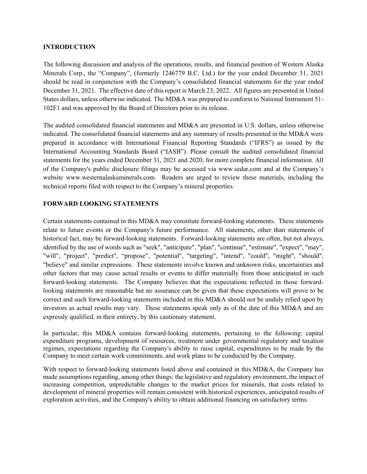#### **INTRODUCTION**

The following discussion and analysis of the operations, results, and financial position of Western Alaska Minerals Corp., the "Company", (formerly 1246779 B.C. Ltd.) for the year ended December 31, 2021 should be read in conjunction with the Company's consolidated financial statements for the year ended December 31, 2021. The effective date of this report is March 23, 2022. All figures are presented in United States dollars, unless otherwise indicated. The MD&A was prepared to conform to National Instrument 51- 102F1 and was approved by the Board of Directors prior to its release.

The audited consolidated financial statements and MD&A are presented in U.S. dollars, unless otherwise indicated. The consolidated financial statements and any summary of results presented in the MD&A were prepared in accordance with International Financial Reporting Standards ("IFRS") as issued by the International Accounting Standards Board ("IASB"). Please consult the audited consolidated financial statements for the years ended December 31, 2021 and 2020, for more complete financial information. All of the Company's public disclosure filings may be accessed via www.sedar.com and at the Company's website www.westernalaskaminerals.com. Readers are urged to review these materials, including the technical reports filed with respect to the Company's mineral properties.

## **FORWARD LOOKING STATEMENTS**

Certain statements contained in this MD&A may constitute forward-looking statements. These statements relate to future events or the Company's future performance. All statements, other than statements of historical fact, may be forward-looking statements. Forward-looking statements are often, but not always, identified by the use of words such as "seek", "anticipate", "plan", "continue", "estimate", "expect", "may", "will", "project", "predict", "propose", "potential", "targeting", "intend", "could", "might", "should", "believe" and similar expressions. These statements involve known and unknown risks, uncertainties and other factors that may cause actual results or events to differ materially from those anticipated in such forward-looking statements. The Company believes that the expectations reflected in those forwardlooking statements are reasonable but no assurance can be given that these expectations will prove to be correct and such forward-looking statements included in this MD&A should not be unduly relied upon by investors as actual results may vary. These statements speak only as of the date of this MD&A and are expressly qualified, in their entirety, by this cautionary statement.

In particular, this MD&A contains forward-looking statements, pertaining to the following: capital expenditure programs, development of resources, treatment under governmental regulatory and taxation regimes, expectations regarding the Company's ability to raise capital, expenditures to be made by the Company to meet certain work commitments, and work plans to be conducted by the Company.

With respect to forward-looking statements listed above and contained in this MD&A, the Company has made assumptions regarding, among other things: the legislative and regulatory environment, the impact of increasing competition, unpredictable changes to the market prices for minerals, that costs related to development of mineral properties will remain consistent with historical experiences, anticipated results of exploration activities, and the Company's ability to obtain additional financing on satisfactory terms.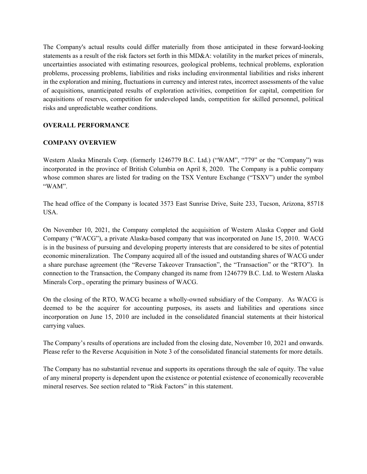The Company's actual results could differ materially from those anticipated in these forward-looking statements as a result of the risk factors set forth in this MD&A: volatility in the market prices of minerals, uncertainties associated with estimating resources, geological problems, technical problems, exploration problems, processing problems, liabilities and risks including environmental liabilities and risks inherent in the exploration and mining, fluctuations in currency and interest rates, incorrect assessments of the value of acquisitions, unanticipated results of exploration activities, competition for capital, competition for acquisitions of reserves, competition for undeveloped lands, competition for skilled personnel, political risks and unpredictable weather conditions.

# **OVERALL PERFORMANCE**

## **COMPANY OVERVIEW**

Western Alaska Minerals Corp. (formerly 1246779 B.C. Ltd.) ("WAM", "779" or the "Company") was incorporated in the province of British Columbia on April 8, 2020. The Company is a public company whose common shares are listed for trading on the TSX Venture Exchange ("TSXV") under the symbol "WAM".

The head office of the Company is located 3573 East Sunrise Drive, Suite 233, Tucson, Arizona, 85718 USA.

On November 10, 2021, the Company completed the acquisition of Western Alaska Copper and Gold Company ("WACG"), a private Alaska-based company that was incorporated on June 15, 2010. WACG is in the business of pursuing and developing property interests that are considered to be sites of potential economic mineralization. The Company acquired all of the issued and outstanding shares of WACG under a share purchase agreement (the "Reverse Takeover Transaction", the "Transaction" or the "RTO"). In connection to the Transaction, the Company changed its name from 1246779 B.C. Ltd. to Western Alaska Minerals Corp., operating the primary business of WACG.

On the closing of the RTO, WACG became a wholly-owned subsidiary of the Company. As WACG is deemed to be the acquirer for accounting purposes, its assets and liabilities and operations since incorporation on June 15, 2010 are included in the consolidated financial statements at their historical carrying values.

The Company's results of operations are included from the closing date, November 10, 2021 and onwards. Please refer to the Reverse Acquisition in Note 3 of the consolidated financial statements for more details.

The Company has no substantial revenue and supports its operations through the sale of equity. The value of any mineral property is dependent upon the existence or potential existence of economically recoverable mineral reserves. See section related to "Risk Factors" in this statement.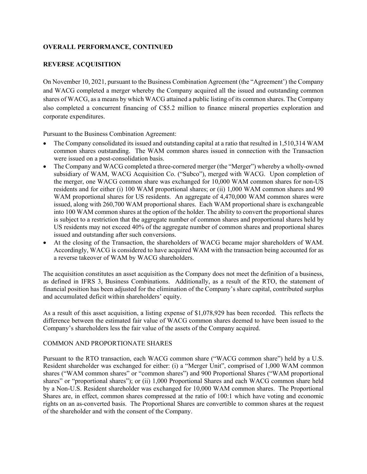## **OVERALL PERFORMANCE, CONTINUED**

## **REVERSE ACQUISITION**

On November 10, 2021, pursuant to the Business Combination Agreement (the "Agreement') the Company and WACG completed a merger whereby the Company acquired all the issued and outstanding common shares of WACG, as a means by which WACG attained a public listing of its common shares. The Company also completed a concurrent financing of C\$5.2 million to finance mineral properties exploration and corporate expenditures.

Pursuant to the Business Combination Agreement:

- The Company consolidated its issued and outstanding capital at a ratio that resulted in 1,510,314 WAM common shares outstanding. The WAM common shares issued in connection with the Transaction were issued on a post-consolidation basis.
- The Company and WACG completed a three-cornered merger (the "Merger") whereby a wholly-owned subsidiary of WAM, WACG Acquisition Co. ("Subco"), merged with WACG. Upon completion of the merger, one WACG common share was exchanged for 10,000 WAM common shares for non-US residents and for either (i) 100 WAM proportional shares; or (ii) 1,000 WAM common shares and 90 WAM proportional shares for US residents. An aggregate of 4,470,000 WAM common shares were issued, along with 260,700 WAM proportional shares. Each WAM proportional share is exchangeable into 100 WAM common shares at the option of the holder. The ability to convert the proportional shares is subject to a restriction that the aggregate number of common shares and proportional shares held by US residents may not exceed 40% of the aggregate number of common shares and proportional shares issued and outstanding after such conversions.
- At the closing of the Transaction, the shareholders of WACG became major shareholders of WAM. Accordingly, WACG is considered to have acquired WAM with the transaction being accounted for as a reverse takeover of WAM by WACG shareholders.

The acquisition constitutes an asset acquisition as the Company does not meet the definition of a business, as defined in IFRS 3, Business Combinations. Additionally, as a result of the RTO, the statement of financial position has been adjusted for the elimination of the Company's share capital, contributed surplus and accumulated deficit within shareholders' equity.

As a result of this asset acquisition, a listing expense of \$1,078,929 has been recorded. This reflects the difference between the estimated fair value of WACG common shares deemed to have been issued to the Company's shareholders less the fair value of the assets of the Company acquired.

### COMMON AND PROPORTIONATE SHARES

Pursuant to the RTO transaction, each WACG common share ("WACG common share") held by a U.S. Resident shareholder was exchanged for either: (i) a "Merger Unit", comprised of 1,000 WAM common shares ("WAM common shares" or "common shares") and 900 Proportional Shares ("WAM proportional shares" or "proportional shares"); or (ii) 1,000 Proportional Shares and each WACG common share held by a Non-U.S. Resident shareholder was exchanged for 10,000 WAM common shares. The Proportional Shares are, in effect, common shares compressed at the ratio of 100:1 which have voting and economic rights on an as-converted basis. The Proportional Shares are convertible to common shares at the request of the shareholder and with the consent of the Company.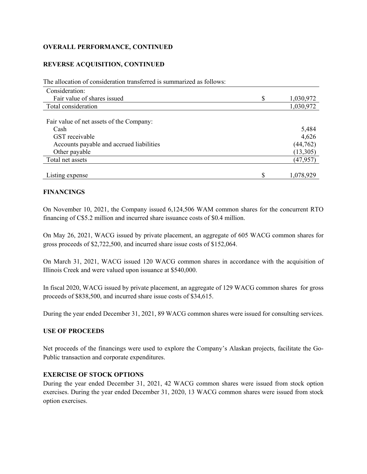## **OVERALL PERFORMANCE, CONTINUED**

# **REVERSE ACQUISITION, CONTINUED**

The allocation of consideration transferred is summarized as follows:

| Consideration:                           |   |           |
|------------------------------------------|---|-----------|
| Fair value of shares issued              | S | 1,030,972 |
| Total consideration                      |   | 1,030,972 |
|                                          |   |           |
| Fair value of net assets of the Company: |   |           |
| Cash                                     |   | 5,484     |
| GST receivable                           |   | 4,626     |
| Accounts payable and accrued liabilities |   | (44, 762) |
| Other payable                            |   | (13,305)  |
| Total net assets                         |   | (47,957)  |
|                                          |   |           |
| Listing expense                          |   | 1,078,929 |

#### **FINANCINGS**

On November 10, 2021, the Company issued 6,124,506 WAM common shares for the concurrent RTO financing of C\$5.2 million and incurred share issuance costs of \$0.4 million.

On May 26, 2021, WACG issued by private placement, an aggregate of 605 WACG common shares for gross proceeds of \$2,722,500, and incurred share issue costs of \$152,064.

On March 31, 2021, WACG issued 120 WACG common shares in accordance with the acquisition of Illinois Creek and were valued upon issuance at \$540,000.

In fiscal 2020, WACG issued by private placement, an aggregate of 129 WACG common shares for gross proceeds of \$838,500, and incurred share issue costs of \$34,615.

During the year ended December 31, 2021, 89 WACG common shares were issued for consulting services.

### **USE OF PROCEEDS**

Net proceeds of the financings were used to explore the Company's Alaskan projects, facilitate the Go-Public transaction and corporate expenditures.

### **EXERCISE OF STOCK OPTIONS**

During the year ended December 31, 2021, 42 WACG common shares were issued from stock option exercises. During the year ended December 31, 2020, 13 WACG common shares were issued from stock option exercises.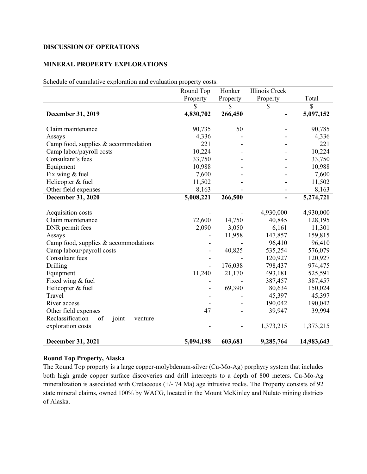#### **DISCUSSION OF OPERATIONS**

# **MINERAL PROPERTY EXPLORATIONS**

Schedule of cumulative exploration and evaluation property costs:

|                                            | Round Top | Honker   | Illinois Creek |              |
|--------------------------------------------|-----------|----------|----------------|--------------|
|                                            | Property  | Property | Property       | Total        |
|                                            | \$        | \$       | \$             | $\mathbb{S}$ |
| <b>December 31, 2019</b>                   | 4,830,702 | 266,450  |                | 5,097,152    |
| Claim maintenance                          | 90,735    | 50       |                | 90,785       |
| Assays                                     | 4,336     |          |                | 4,336        |
| Camp food, supplies & accommodation        | 221       |          |                | 221          |
| Camp labor/payroll costs                   | 10,224    |          |                | 10,224       |
| Consultant's fees                          | 33,750    |          |                | 33,750       |
| Equipment                                  | 10,988    |          |                | 10,988       |
| Fix wing & fuel                            | 7,600     |          |                | 7,600        |
| Helicopter & fuel                          | 11,502    |          |                | 11,502       |
| Other field expenses                       | 8,163     |          |                | 8,163        |
| <b>December 31, 2020</b>                   | 5,008,221 | 266,500  | $\overline{a}$ | 5,274,721    |
| Acquisition costs                          |           |          | 4,930,000      | 4,930,000    |
| Claim maintenance                          | 72,600    | 14,750   | 40,845         | 128,195      |
| DNR permit fees                            | 2,090     | 3,050    | 6,161          | 11,301       |
| Assays                                     |           | 11,958   | 147,857        | 159,815      |
| Camp food, supplies & accommodations       |           |          | 96,410         | 96,410       |
| Camp labour/payroll costs                  |           | 40,825   | 535,254        | 576,079      |
| Consultant fees                            |           |          | 120,927        | 120,927      |
| Drilling                                   |           | 176,038  | 798,437        | 974,475      |
| Equipment                                  | 11,240    | 21,170   | 493,181        | 525,591      |
| Fixed wing & fuel                          |           |          | 387,457        | 387,457      |
| Helicopter & fuel                          |           | 69,390   | 80,634         | 150,024      |
| Travel                                     |           |          | 45,397         | 45,397       |
| River access                               |           |          | 190,042        | 190,042      |
| Other field expenses                       | 47        |          | 39,947         | 39,994       |
| Reclassification<br>joint<br>of<br>venture |           |          |                |              |
| exploration costs                          |           |          | 1,373,215      | 1,373,215    |
|                                            |           |          |                |              |
| <b>December 31, 2021</b>                   | 5,094,198 | 603,681  | 9,285,764      | 14,983,643   |

#### **Round Top Property, Alaska**

The Round Top property is a large copper-molybdenum-silver (Cu-Mo-Ag) porphyry system that includes both high grade copper surface discoveries and drill intercepts to a depth of 800 meters. Cu-Mo-Ag mineralization is associated with Cretaceous (+/- 74 Ma) age intrusive rocks. The Property consists of 92 state mineral claims, owned 100% by WACG, located in the Mount McKinley and Nulato mining districts of Alaska.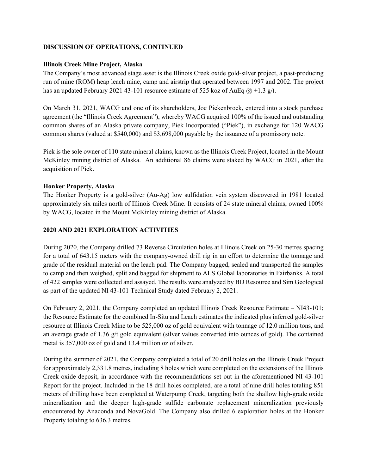## **DISCUSSION OF OPERATIONS, CONTINUED**

## **Illinois Creek Mine Project, Alaska**

The Company's most advanced stage asset is the Illinois Creek oxide gold-silver project, a past-producing run of mine (ROM) heap leach mine, camp and airstrip that operated between 1997 and 2002. The project has an updated February 2021 43-101 resource estimate of 525 koz of AuEq  $\omega$  +1.3 g/t.

On March 31, 2021, WACG and one of its shareholders, Joe Piekenbrock, entered into a stock purchase agreement (the "Illinois Creek Agreement"), whereby WACG acquired 100% of the issued and outstanding common shares of an Alaska private company, Piek Incorporated ("Piek"), in exchange for 120 WACG common shares (valued at \$540,000) and \$3,698,000 payable by the issuance of a promissory note.

Piek is the sole owner of 110 state mineral claims, known as the Illinois Creek Project, located in the Mount McKinley mining district of Alaska. An additional 86 claims were staked by WACG in 2021, after the acquisition of Piek.

## **Honker Property, Alaska**

The Honker Property is a gold-silver (Au-Ag) low sulfidation vein system discovered in 1981 located approximately six miles north of Illinois Creek Mine. It consists of 24 state mineral claims, owned 100% by WACG, located in the Mount McKinley mining district of Alaska.

## **2020 AND 2021 EXPLORATION ACTIVITIES**

During 2020, the Company drilled 73 Reverse Circulation holes at Illinois Creek on 25-30 metres spacing for a total of 643.15 meters with the company-owned drill rig in an effort to determine the tonnage and grade of the residual material on the leach pad. The Company bagged, sealed and transported the samples to camp and then weighed, split and bagged for shipment to ALS Global laboratories in Fairbanks. A total of 422 samples were collected and assayed. The results were analyzed by BD Resource and Sim Geological as part of the updated NI 43-101 Technical Study dated February 2, 2021.

On February 2, 2021, the Company completed an updated Illinois Creek Resource Estimate – NI43-101; the Resource Estimate for the combined In-Situ and Leach estimates the indicated plus inferred gold-silver resource at Illinois Creek Mine to be 525,000 oz of gold equivalent with tonnage of 12.0 million tons, and an average grade of 1.36 g/t gold equivalent (silver values converted into ounces of gold). The contained metal is 357,000 oz of gold and 13.4 million oz of silver.

During the summer of 2021, the Company completed a total of 20 drill holes on the Illinois Creek Project for approximately 2,331.8 metres, including 8 holes which were completed on the extensions of the Illinois Creek oxide deposit, in accordance with the recommendations set out in the aforementioned NI 43-101 Report for the project. Included in the 18 drill holes completed, are a total of nine drill holes totaling 851 meters of drilling have been completed at Waterpump Creek, targeting both the shallow high-grade oxide mineralization and the deeper high-grade sulfide carbonate replacement mineralization previously encountered by Anaconda and NovaGold. The Company also drilled 6 exploration holes at the Honker Property totaling to 636.3 metres.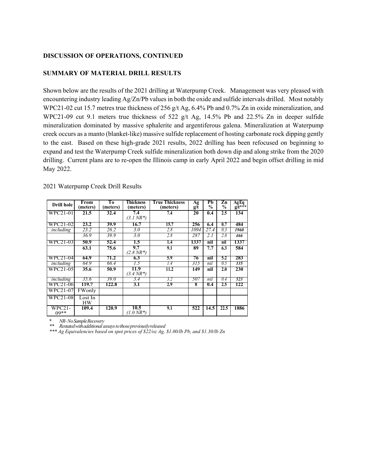## **DISCUSSION OF OPERATIONS, CONTINUED**

#### **SUMMARY OF MATERIAL DRILL RESULTS**

Shown below are the results of the 2021 drilling at Waterpump Creek. Management was very pleased with encountering industry leading Ag/Zn/Pb values in both the oxide and sulfide intervals drilled. Most notably WPC21-02 cut 15.7 metres true thickness of 256 g/t Ag, 6.4% Pb and 0.7% Zn in oxide mineralization, and WPC21-09 cut 9.1 meters true thickness of 522 g/t Ag, 14.5% Pb and 22.5% Zn in deeper sulfide mineralization dominated by massive sphalerite and argentiferous galena. Mineralization at Waterpump creek occurs as a manto (blanket-like) massive sulfide replacement of hosting carbonate rock dipping gently to the east. Based on these high-grade 2021 results, 2022 drilling has been refocused on beginning to expand and test the Waterpump Creek sulfide mineralization both down dip and along strike from the 2020 drilling. Current plans are to re-open the Illinois camp in early April 2022 and begin offset drilling in mid May 2022.

| <b>Drill hole</b> | From<br>(meters)     | Tо<br>(meters) | Thickness<br>(meters)        | True Thickness<br>(meters) | Αg<br>$g/\bar{t}$ | Pb<br>$\frac{0}{0}$ | Zn<br>$\frac{0}{0}$ | AgEq<br>$g(t^{***})$ |
|-------------------|----------------------|----------------|------------------------------|----------------------------|-------------------|---------------------|---------------------|----------------------|
| WPC21-01          | 21.5                 | 32.4           | 7.4<br>$(3.1 \text{ NR}^*)$  | 7.4                        | 20                | 0.4                 | 2.5                 | 134                  |
| WPC21-02          | 23.2                 | 39.9           | 16.7                         | 15.7                       | 256               | 6.4                 | 0.7                 | 484                  |
| including         | 23.2                 | 26.2           | 3.0                          | 2.8                        | 1094              | 27.4                | 0.3                 | 1960                 |
|                   | 36.9                 | 39.9           | 3.0                          | 2.8                        | 287               | 2.1                 | 2.8                 | 466                  |
| WPC21-03          | 50.9                 | 52.4           | 1.5                          | 1.4                        | 1337              | nil                 | nil                 | 1337                 |
|                   | 63.1                 | 75.6           | 9.7<br>$(2.8 \text{ NR}^*)$  | 9.1                        | 89                | 7.7                 | 6.3                 | 584                  |
| WPC21-041         | 64.9                 | 71.2           | 6.3                          | 5.9                        | 76                | nil                 | 5.2                 | 283                  |
| including         | 64.9                 | 66.4           | 1.5                          | 1.4                        | 315               | nil                 | 0.5                 | 335                  |
| WPC21-05          | 35.6                 | 50.9           | 11.9<br>$(3.4 \text{ NR}^*)$ | 11.2                       | 149               | nil                 | 2.0                 | 230                  |
| including         | 35.6                 | 39.0           | 3.4                          | 3.2                        | 507               | nil                 | 0.4                 | 523                  |
| WPC21-06I         | 119.7                | 122.8          | 3.1                          | 2.9                        | 8                 | 0.4                 | 2.5                 | 122                  |
| WPC21-07          | FWonly               |                |                              |                            |                   |                     |                     |                      |
| $WPC21-08$        | Lost In<br><b>HW</b> |                |                              |                            |                   |                     |                     |                      |
| WPC21-<br>$09**$  | 109.4                | 120.9          | 10.5<br>$(1.0\,NR^*)$        | 9.1                        | 522               | 14.5                | 22.5                | 1886                 |

2021 Waterpump Creek Drill Results

\* *NR-NoSampleRecovery \*\* Restatedwithadditional assaystothosepreviouslyreleased*

*\*\*\* Ag Equivalencies based on spot prices of \$22/oz Ag, \$1.00/lb Pb, and \$1.30/lb Zn*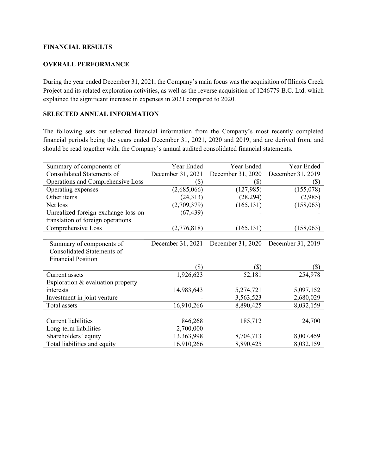#### **FINANCIAL RESULTS**

## **OVERALL PERFORMANCE**

During the year ended December 31, 2021, the Company's main focus was the acquisition of Illinois Creek Project and its related exploration activities, as well as the reverse acquisition of 1246779 B.C. Ltd. which explained the significant increase in expenses in 2021 compared to 2020.

## **SELECTED ANNUAL INFORMATION**

The following sets out selected financial information from the Company's most recently completed financial periods being the years ended December 31, 2021, 2020 and 2019, and are derived from, and should be read together with, the Company's annual audited consolidated financial statements.

| Summary of components of            | Year Ended        | Year Ended        | Year Ended        |
|-------------------------------------|-------------------|-------------------|-------------------|
| Consolidated Statements of          | December 31, 2021 | December 31, 2020 | December 31, 2019 |
| Operations and Comprehensive Loss   | (\$)              | (\$)              | (\$)              |
| Operating expenses                  | (2,685,066)       | (127, 985)        | (155,078)         |
| Other items                         | (24,313)          | (28, 294)         | (2,985)           |
| Net loss                            | (2,709,379)       | (165, 131)        | (158,063)         |
| Unrealized foreign exchange loss on | (67, 439)         |                   |                   |
| translation of foreign operations   |                   |                   |                   |
| Comprehensive Loss                  | (2,776,818)       | (165, 131)        | (158, 063)        |
|                                     |                   |                   |                   |
| Summary of components of            | December 31, 2021 | December 31, 2020 | December 31, 2019 |
| Consolidated Statements of          |                   |                   |                   |
| <b>Financial Position</b>           |                   |                   |                   |
|                                     |                   |                   |                   |
|                                     | (\$)              | (\$)              | $(\$\)$           |
| Current assets                      | 1,926,623         | 52,181            | 254,978           |
| Exploration & evaluation property   |                   |                   |                   |
| interests                           | 14,983,643        | 5,274,721         | 5,097,152         |
| Investment in joint venture         |                   | 3,563,523         | 2,680,029         |
| Total assets                        | 16,910,266        | 8,890,425         | 8,032,159         |
|                                     |                   |                   |                   |
| <b>Current liabilities</b>          | 846,268           | 185,712           | 24,700            |
| Long-term liabilities               | 2,700,000         |                   |                   |
| Shareholders' equity                | 13,363,998        | 8,704,713         | 8,007,459         |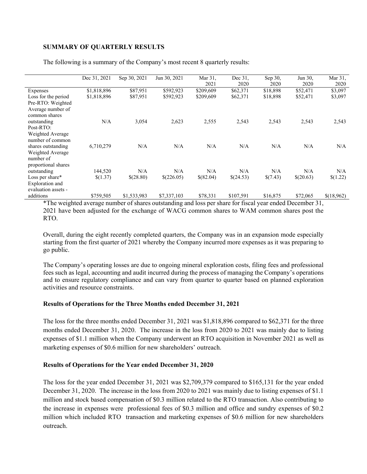#### **SUMMARY OF QUARTERLY RESULTS**

|                     | Dec 31, 2021 | Sep 30, 2021 | Jun 30, 2021 | Mar 31,   | Dec 31,   | Sep 30,  | Jun 30,   | Mar 31,    |
|---------------------|--------------|--------------|--------------|-----------|-----------|----------|-----------|------------|
|                     |              |              |              | 2021      | 2020      | 2020     | 2020      | 2020       |
| Expenses            | \$1,818,896  | \$87,951     | \$592,923    | \$209,609 | \$62,371  | \$18,898 | \$52,471  | \$3,097    |
| Loss for the period | \$1,818,896  | \$87,951     | \$592,923    | \$209,609 | \$62,371  | \$18,898 | \$52,471  | \$3,097    |
| Pre-RTO: Weighted   |              |              |              |           |           |          |           |            |
| Average number of   |              |              |              |           |           |          |           |            |
| common shares       |              |              |              |           |           |          |           |            |
| outstanding         | N/A          | 3,054        | 2,623        | 2,555     | 2,543     | 2,543    | 2,543     | 2,543      |
| Post-RTO:           |              |              |              |           |           |          |           |            |
| Weighted Average    |              |              |              |           |           |          |           |            |
| number of common    |              |              |              |           |           |          |           |            |
| shares outstanding  | 6,710,279    | N/A          | N/A          | N/A       | N/A       | N/A      | N/A       | N/A        |
| Weighted Average    |              |              |              |           |           |          |           |            |
| number of           |              |              |              |           |           |          |           |            |
| proportional shares |              |              |              |           |           |          |           |            |
| outstanding         | 144,520      | N/A          | N/A          | N/A       | N/A       | N/A      | N/A       | N/A        |
| Loss per share*     | \$(1.37)     | \$(28.80)    | \$(226.05)   | \$(82.04) | \$(24.53) | \$(7.43) | \$(20.63) | \$(1.22)   |
| Exploration and     |              |              |              |           |           |          |           |            |
| evaluation assets - |              |              |              |           |           |          |           |            |
| additions           | \$759,505    | \$1,533,983  | \$7,337,103  | \$78,331  | \$107,591 | \$16,875 | \$72,065  | \$(18,962) |

The following is a summary of the Company's most recent 8 quarterly results:

\*The weighted average number of shares outstanding and loss per share for fiscal year ended December 31, 2021 have been adjusted for the exchange of WACG common shares to WAM common shares post the RTO.

Overall, during the eight recently completed quarters, the Company was in an expansion mode especially starting from the first quarter of 2021 whereby the Company incurred more expenses as it was preparing to go public.

The Company's operating losses are due to ongoing mineral exploration costs, filing fees and professional fees such as legal, accounting and audit incurred during the process of managing the Company's operations and to ensure regulatory compliance and can vary from quarter to quarter based on planned exploration activities and resource constraints.

#### **Results of Operations for the Three Months ended December 31, 2021**

The loss for the three months ended December 31, 2021 was \$1,818,896 compared to \$62,371 for the three months ended December 31, 2020. The increase in the loss from 2020 to 2021 was mainly due to listing expenses of \$1.1 million when the Company underwent an RTO acquisition in November 2021 as well as marketing expenses of \$0.6 million for new shareholders' outreach.

### **Results of Operations for the Year ended December 31, 2020**

The loss for the year ended December 31, 2021 was \$2,709,379 compared to \$165,131 for the year ended December 31, 2020. The increase in the loss from 2020 to 2021 was mainly due to listing expenses of \$1.1 million and stock based compensation of \$0.3 million related to the RTO transaction. Also contributing to the increase in expenses were professional fees of \$0.3 million and office and sundry expenses of \$0.2 million which included RTO transaction and marketing expenses of \$0.6 million for new shareholders outreach.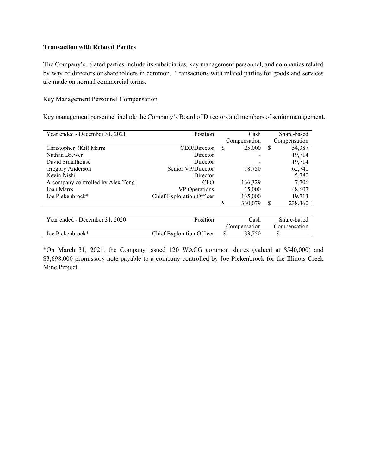## **Transaction with Related Parties**

The Company's related parties include its subsidiaries, key management personnel, and companies related by way of directors or shareholders in common. Transactions with related parties for goods and services are made on normal commercial terms.

#### Key Management Personnel Compensation

Key management personnel include the Company's Board of Directors and members of senior management.

| Year ended - December 31, 2021    | Position                         |    | Cash         |    | Share-based  |
|-----------------------------------|----------------------------------|----|--------------|----|--------------|
|                                   |                                  |    | Compensation |    | Compensation |
| Christopher (Kit) Marrs           | CEO/Director                     | S  | 25,000       | \$ | 54,387       |
| Nathan Brewer                     | Director                         |    |              |    | 19,714       |
| David Smallhouse                  | Director                         |    |              |    | 19,714       |
| Gregory Anderson                  | Senior VP/Director               |    | 18,750       |    | 62,740       |
| Kevin Nishi                       | Director                         |    |              |    | 5,780        |
| A company controlled by Alex Tong | <b>CFO</b>                       |    | 136,329      |    | 7.706        |
| Joan Marrs                        | VP Operations                    |    | 15,000       |    | 48,607       |
| Joe Piekenbrock*                  | Chief Exploration Officer        |    | 135,000      |    | 19,713       |
|                                   |                                  | \$ | 330,079      | S  | 238,360      |
|                                   |                                  |    |              |    |              |
| Year ended - December 31, 2020    | Position                         |    | Cash         |    | Share-based  |
|                                   |                                  |    | Compensation |    | Compensation |
| Joe Piekenbrock*                  | <b>Chief Exploration Officer</b> | \$ | 33,750       |    | S            |

\*On March 31, 2021, the Company issued 120 WACG common shares (valued at \$540,000) and \$3,698,000 promissory note payable to a company controlled by Joe Piekenbrock for the Illinois Creek Mine Project.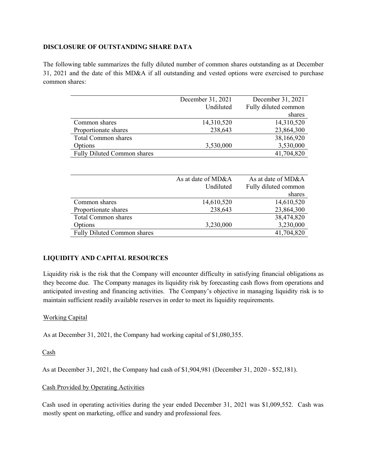## **DISCLOSURE OF OUTSTANDING SHARE DATA**

The following table summarizes the fully diluted number of common shares outstanding as at December 31, 2021 and the date of this MD&A if all outstanding and vested options were exercised to purchase common shares:

|                             | December 31, 2021 | December 31, 2021    |
|-----------------------------|-------------------|----------------------|
|                             | Undiluted         | Fully diluted common |
|                             |                   | shares               |
| Common shares               | 14,310,520        | 14,310,520           |
| Proportionate shares        | 238,643           | 23,864,300           |
| <b>Total Common shares</b>  |                   | 38,166,920           |
| Options                     | 3,530,000         | 3,530,000            |
| Fully Diluted Common shares |                   | 41,704,820           |

|                                    | As at date of MD&A<br>Undiluted | As at date of MD&A<br>Fully diluted common |
|------------------------------------|---------------------------------|--------------------------------------------|
|                                    |                                 | shares                                     |
| Common shares                      | 14,610,520                      | 14,610,520                                 |
| Proportionate shares               | 238,643                         | 23,864,300                                 |
| <b>Total Common shares</b>         |                                 | 38,474,820                                 |
| Options                            | 3,230,000                       | 3,230,000                                  |
| <b>Fully Diluted Common shares</b> |                                 | 41,704,820                                 |

# **LIQUIDITY AND CAPITAL RESOURCES**

Liquidity risk is the risk that the Company will encounter difficulty in satisfying financial obligations as they become due. The Company manages its liquidity risk by forecasting cash flows from operations and anticipated investing and financing activities. The Company's objective in managing liquidity risk is to maintain sufficient readily available reserves in order to meet its liquidity requirements.

# Working Capital

As at December 31, 2021, the Company had working capital of \$1,080,355.

Cash

As at December 31, 2021, the Company had cash of \$1,904,981 (December 31, 2020 - \$52,181).

### Cash Provided by Operating Activities

Cash used in operating activities during the year ended December 31, 2021 was \$1,009,552. Cash was mostly spent on marketing, office and sundry and professional fees.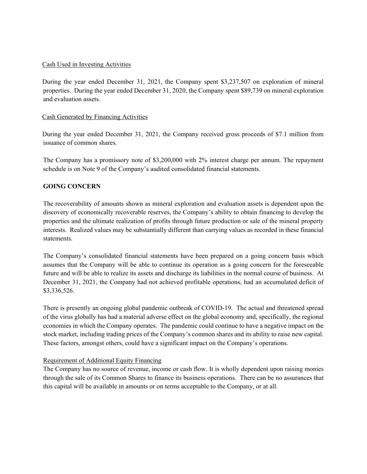## Cash Used in Investing Activities

During the year ended December 31, 2021, the Company spent \$3,237,507 on exploration of mineral properties. During the year ended December 31, 2020, the Company spent \$89,739 on mineral exploration and evaluation assets.

## Cash Generated by Financing Activities

During the year ended December 31, 2021, the Company received gross proceeds of \$7.1 million from issuance of common shares.

The Company has a promissory note of \$3,200,000 with 2% interest charge per annum. The repayment schedule is on Note 9 of the Company's audited consolidated financial statements.

## **GOING CONCERN**

The recoverability of amounts shown as mineral exploration and evaluation assets is dependent upon the discovery of economically recoverable reserves, the Company's ability to obtain financing to develop the properties and the ultimate realization of profits through future production or sale of the mineral property interests. Realized values may be substantially different than carrying values as recorded in these financial statements.

The Company's consolidated financial statements have been prepared on a going concern basis which assumes that the Company will be able to continue its operation as a going concern for the foreseeable future and will be able to realize its assets and discharge its liabilities in the normal course of business. At December 31, 2021, the Company had not achieved profitable operations, had an accumulated deficit of \$3,336,526.

There is presently an ongoing global pandemic outbreak of COVID-19. The actual and threatened spread of the virus globally has had a material adverse effect on the global economy and, specifically, the regional economies in which the Company operates. The pandemic could continue to have a negative impact on the stock market, including trading prices of the Company's common shares and its ability to raise new capital. These factors, amongst others, could have a significant impact on the Company's operations.

### Requirement of Additional Equity Financing

The Company has no source of revenue, income or cash flow. It is wholly dependent upon raising monies through the sale of its Common Shares to finance its business operations. There can be no assurances that this capital will be available in amounts or on terms acceptable to the Company, or at all.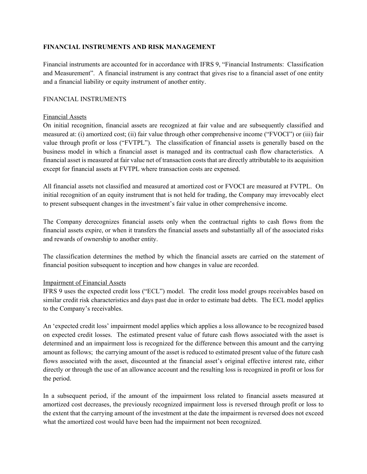#### **FINANCIAL INSTRUMENTS AND RISK MANAGEMENT**

Financial instruments are accounted for in accordance with IFRS 9, "Financial Instruments: Classification and Measurement". A financial instrument is any contract that gives rise to a financial asset of one entity and a financial liability or equity instrument of another entity.

#### FINANCIAL INSTRUMENTS

#### Financial Assets

On initial recognition, financial assets are recognized at fair value and are subsequently classified and measured at: (i) amortized cost; (ii) fair value through other comprehensive income ("FVOCI") or (iii) fair value through profit or loss ("FVTPL"). The classification of financial assets is generally based on the business model in which a financial asset is managed and its contractual cash flow characteristics. A financial asset is measured at fair value net of transaction costs that are directly attributable to its acquisition except for financial assets at FVTPL where transaction costs are expensed.

All financial assets not classified and measured at amortized cost or FVOCI are measured at FVTPL. On initial recognition of an equity instrument that is not held for trading, the Company may irrevocably elect to present subsequent changes in the investment's fair value in other comprehensive income.

The Company derecognizes financial assets only when the contractual rights to cash flows from the financial assets expire, or when it transfers the financial assets and substantially all of the associated risks and rewards of ownership to another entity.

The classification determines the method by which the financial assets are carried on the statement of financial position subsequent to inception and how changes in value are recorded.

#### Impairment of Financial Assets

IFRS 9 uses the expected credit loss ("ECL") model. The credit loss model groups receivables based on similar credit risk characteristics and days past due in order to estimate bad debts. The ECL model applies to the Company's receivables.

An 'expected credit loss' impairment model applies which applies a loss allowance to be recognized based on expected credit losses. The estimated present value of future cash flows associated with the asset is determined and an impairment loss is recognized for the difference between this amount and the carrying amount as follows; the carrying amount of the asset is reduced to estimated present value of the future cash flows associated with the asset, discounted at the financial asset's original effective interest rate, either directly or through the use of an allowance account and the resulting loss is recognized in profit or loss for the period.

In a subsequent period, if the amount of the impairment loss related to financial assets measured at amortized cost decreases, the previously recognized impairment loss is reversed through profit or loss to the extent that the carrying amount of the investment at the date the impairment is reversed does not exceed what the amortized cost would have been had the impairment not been recognized.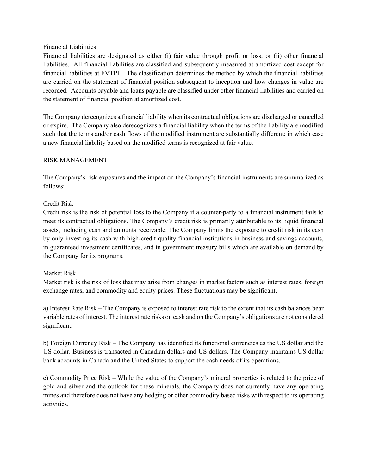### Financial Liabilities

Financial liabilities are designated as either (i) fair value through profit or loss; or (ii) other financial liabilities. All financial liabilities are classified and subsequently measured at amortized cost except for financial liabilities at FVTPL. The classification determines the method by which the financial liabilities are carried on the statement of financial position subsequent to inception and how changes in value are recorded. Accounts payable and loans payable are classified under other financial liabilities and carried on the statement of financial position at amortized cost.

The Company derecognizes a financial liability when its contractual obligations are discharged or cancelled or expire. The Company also derecognizes a financial liability when the terms of the liability are modified such that the terms and/or cash flows of the modified instrument are substantially different; in which case a new financial liability based on the modified terms is recognized at fair value.

## RISK MANAGEMENT

The Company's risk exposures and the impact on the Company's financial instruments are summarized as follows:

## Credit Risk

Credit risk is the risk of potential loss to the Company if a counter-party to a financial instrument fails to meet its contractual obligations. The Company's credit risk is primarily attributable to its liquid financial assets, including cash and amounts receivable. The Company limits the exposure to credit risk in its cash by only investing its cash with high-credit quality financial institutions in business and savings accounts, in guaranteed investment certificates, and in government treasury bills which are available on demand by the Company for its programs.

# Market Risk

Market risk is the risk of loss that may arise from changes in market factors such as interest rates, foreign exchange rates, and commodity and equity prices. These fluctuations may be significant.

a) Interest Rate Risk – The Company is exposed to interest rate risk to the extent that its cash balances bear variable rates of interest. The interest rate risks on cash and on the Company's obligations are not considered significant.

b) Foreign Currency Risk – The Company has identified its functional currencies as the US dollar and the US dollar. Business is transacted in Canadian dollars and US dollars. The Company maintains US dollar bank accounts in Canada and the United States to support the cash needs of its operations.

c) Commodity Price Risk – While the value of the Company's mineral properties is related to the price of gold and silver and the outlook for these minerals, the Company does not currently have any operating mines and therefore does not have any hedging or other commodity based risks with respect to its operating activities.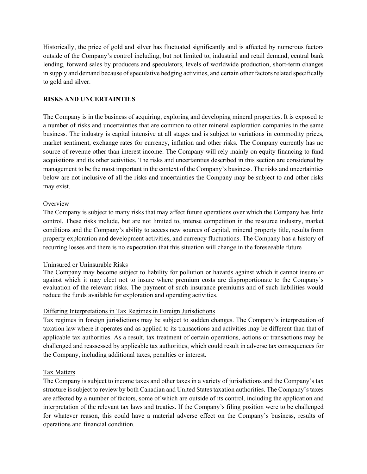Historically, the price of gold and silver has fluctuated significantly and is affected by numerous factors outside of the Company's control including, but not limited to, industrial and retail demand, central bank lending, forward sales by producers and speculators, levels of worldwide production, short-term changes in supply and demand because of speculative hedging activities, and certain other factors related specifically to gold and silver.

## **RISKS AND UNCERTAINTIES**

The Company is in the business of acquiring, exploring and developing mineral properties. It is exposed to a number of risks and uncertainties that are common to other mineral exploration companies in the same business. The industry is capital intensive at all stages and is subject to variations in commodity prices, market sentiment, exchange rates for currency, inflation and other risks. The Company currently has no source of revenue other than interest income. The Company will rely mainly on equity financing to fund acquisitions and its other activities. The risks and uncertainties described in this section are considered by management to be the most important in the context of the Company's business. The risks and uncertainties below are not inclusive of all the risks and uncertainties the Company may be subject to and other risks may exist.

### **Overview**

The Company is subject to many risks that may affect future operations over which the Company has little control. These risks include, but are not limited to, intense competition in the resource industry, market conditions and the Company's ability to access new sources of capital, mineral property title, results from property exploration and development activities, and currency fluctuations. The Company has a history of recurring losses and there is no expectation that this situation will change in the foreseeable future

### Uninsured or Uninsurable Risks

The Company may become subject to liability for pollution or hazards against which it cannot insure or against which it may elect not to insure where premium costs are disproportionate to the Company's evaluation of the relevant risks. The payment of such insurance premiums and of such liabilities would reduce the funds available for exploration and operating activities.

# Differing Interpretations in Tax Regimes in Foreign Jurisdictions

Tax regimes in foreign jurisdictions may be subject to sudden changes. The Company's interpretation of taxation law where it operates and as applied to its transactions and activities may be different than that of applicable tax authorities. As a result, tax treatment of certain operations, actions or transactions may be challenged and reassessed by applicable tax authorities, which could result in adverse tax consequences for the Company, including additional taxes, penalties or interest.

### Tax Matters

The Company is subject to income taxes and other taxes in a variety of jurisdictions and the Company's tax structure is subject to review by both Canadian and United States taxation authorities. The Company's taxes are affected by a number of factors, some of which are outside of its control, including the application and interpretation of the relevant tax laws and treaties. If the Company's filing position were to be challenged for whatever reason, this could have a material adverse effect on the Company's business, results of operations and financial condition.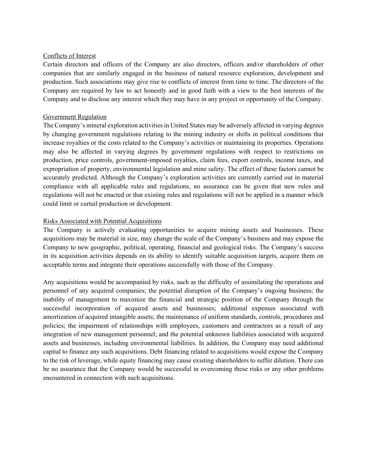## Conflicts of Interest

Certain directors and officers of the Company are also directors, officers and/or shareholders of other companies that are similarly engaged in the business of natural resource exploration, development and production. Such associations may give rise to conflicts of interest from time to time. The directors of the Company are required by law to act honestly and in good faith with a view to the best interests of the Company and to disclose any interest which they may have in any project or opportunity of the Company.

## Government Regulation

The Company's mineral exploration activities in United States may be adversely affected in varying degrees by changing government regulations relating to the mining industry or shifts in political conditions that increase royalties or the costs related to the Company's activities or maintaining its properties. Operations may also be affected in varying degrees by government regulations with respect to restrictions on production, price controls, government-imposed royalties, claim fees, export controls, income taxes, and expropriation of property, environmental legislation and mine safety. The effect of these factors cannot be accurately predicted. Although the Company's exploration activities are currently carried out in material compliance with all applicable rules and regulations, no assurance can be given that new rules and regulations will not be enacted or that existing rules and regulations will not be applied in a manner which could limit or curtail production or development.

## Risks Associated with Potential Acquisitions

The Company is actively evaluating opportunities to acquire mining assets and businesses. These acquisitions may be material in size, may change the scale of the Company's business and may expose the Company to new geographic, political, operating, financial and geological risks. The Company's success in its acquisition activities depends on its ability to identify suitable acquisition targets, acquire them on acceptable terms and integrate their operations successfully with those of the Company.

Any acquisitions would be accompanied by risks, such as the difficulty of assimilating the operations and personnel of any acquired companies; the potential disruption of the Company's ongoing business; the inability of management to maximize the financial and strategic position of the Company through the successful incorporation of acquired assets and businesses; additional expenses associated with amortization of acquired intangible assets; the maintenance of uniform standards, controls, procedures and policies; the impairment of relationships with employees, customers and contractors as a result of any integration of new management personnel; and the potential unknown liabilities associated with acquired assets and businesses, including environmental liabilities. In addition, the Company may need additional capital to finance any such acquisitions. Debt financing related to acquisitions would expose the Company to the risk of leverage, while equity financing may cause existing shareholders to suffer dilution. There can be no assurance that the Company would be successful in overcoming these risks or any other problems encountered in connection with such acquisitions.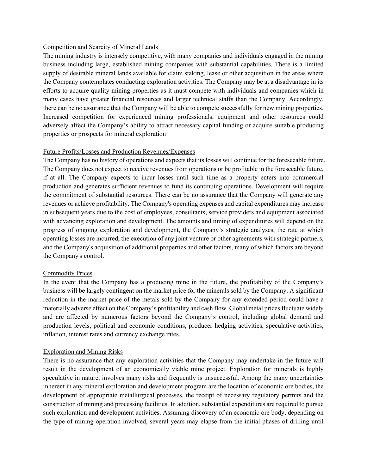#### Competition and Scarcity of Mineral Lands

The mining industry is intensely competitive, with many companies and individuals engaged in the mining business including large, established mining companies with substantial capabilities. There is a limited supply of desirable mineral lands available for claim staking, lease or other acquisition in the areas where the Company contemplates conducting exploration activities. The Company may be at a disadvantage in its efforts to acquire quality mining properties as it must compete with individuals and companies which in many cases have greater financial resources and larger technical staffs than the Company. Accordingly, there can be no assurance that the Company will be able to compete successfully for new mining properties. Increased competition for experienced mining professionals, equipment and other resources could adversely affect the Company's ability to attract necessary capital funding or acquire suitable producing properties or prospects for mineral exploration

### Future Profits/Losses and Production Revenues/Expenses

The Company has no history of operations and expects that its losses will continue for the foreseeable future. The Company does not expect to receive revenues from operations or be profitable in the foreseeable future, if at all. The Company expects to incur losses until such time as a property enters into commercial production and generates sufficient revenues to fund its continuing operations. Development will require the commitment of substantial resources. There can be no assurance that the Company will generate any revenues or achieve profitability. The Company's operating expenses and capital expenditures may increase in subsequent years due to the cost of employees, consultants, service providers and equipment associated with advancing exploration and development. The amounts and timing of expenditures will depend on the progress of ongoing exploration and development, the Company's strategic analyses, the rate at which operating losses are incurred, the execution of any joint venture or other agreements with strategic partners, and the Company's acquisition of additional properties and other factors, many of which factors are beyond the Company's control.

### Commodity Prices

In the event that the Company has a producing mine in the future, the profitability of the Company's business will be largely contingent on the market price for the minerals sold by the Company. A significant reduction in the market price of the metals sold by the Company for any extended period could have a materially adverse effect on the Company's profitability and cash flow. Global metal prices fluctuate widely and are affected by numerous factors beyond the Company's control, including global demand and production levels, political and economic conditions, producer hedging activities, speculative activities, inflation, interest rates and currency exchange rates.

### Exploration and Mining Risks

There is no assurance that any exploration activities that the Company may undertake in the future will result in the development of an economically viable mine project. Exploration for minerals is highly speculative in nature, involves many risks and frequently is unsuccessful. Among the many uncertainties inherent in any mineral exploration and development program are the location of economic ore bodies, the development of appropriate metallurgical processes, the receipt of necessary regulatory permits and the construction of mining and processing facilities. In addition, substantial expenditures are required to pursue such exploration and development activities. Assuming discovery of an economic ore body, depending on the type of mining operation involved, several years may elapse from the initial phases of drilling until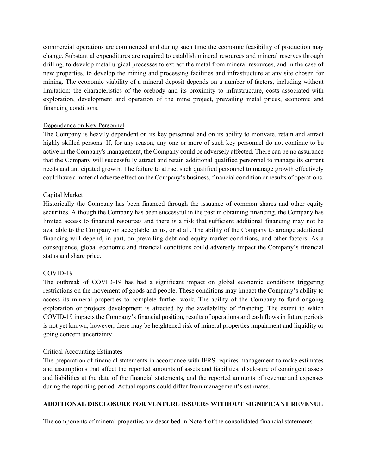commercial operations are commenced and during such time the economic feasibility of production may change. Substantial expenditures are required to establish mineral resources and mineral reserves through drilling, to develop metallurgical processes to extract the metal from mineral resources, and in the case of new properties, to develop the mining and processing facilities and infrastructure at any site chosen for mining. The economic viability of a mineral deposit depends on a number of factors, including without limitation: the characteristics of the orebody and its proximity to infrastructure, costs associated with exploration, development and operation of the mine project, prevailing metal prices, economic and financing conditions.

## Dependence on Key Personnel

The Company is heavily dependent on its key personnel and on its ability to motivate, retain and attract highly skilled persons. If, for any reason, any one or more of such key personnel do not continue to be active in the Company's management, the Company could be adversely affected. There can be no assurance that the Company will successfully attract and retain additional qualified personnel to manage its current needs and anticipated growth. The failure to attract such qualified personnel to manage growth effectively could have a material adverse effect on the Company's business, financial condition or results of operations.

### Capital Market

Historically the Company has been financed through the issuance of common shares and other equity securities. Although the Company has been successful in the past in obtaining financing, the Company has limited access to financial resources and there is a risk that sufficient additional financing may not be available to the Company on acceptable terms, or at all. The ability of the Company to arrange additional financing will depend, in part, on prevailing debt and equity market conditions, and other factors. As a consequence, global economic and financial conditions could adversely impact the Company's financial status and share price.

#### COVID-19

The outbreak of COVID-19 has had a significant impact on global economic conditions triggering restrictions on the movement of goods and people. These conditions may impact the Company's ability to access its mineral properties to complete further work. The ability of the Company to fund ongoing exploration or projects development is affected by the availability of financing. The extent to which COVID-19 impacts the Company's financial position, results of operations and cash flows in future periods is not yet known; however, there may be heightened risk of mineral properties impairment and liquidity or going concern uncertainty.

#### Critical Accounting Estimates

The preparation of financial statements in accordance with IFRS requires management to make estimates and assumptions that affect the reported amounts of assets and liabilities, disclosure of contingent assets and liabilities at the date of the financial statements, and the reported amounts of revenue and expenses during the reporting period. Actual reports could differ from management's estimates.

### **ADDITIONAL DISCLOSURE FOR VENTURE ISSUERS WITHOUT SIGNIFICANT REVENUE**

The components of mineral properties are described in Note 4 of the consolidated financial statements